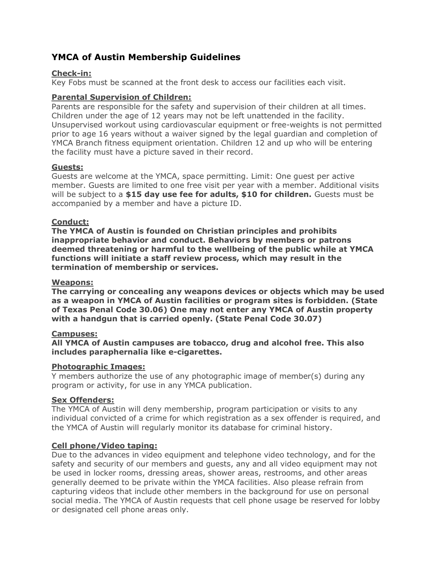# YMCA of Austin Membership Guidelines

# Check-in:

Key Fobs must be scanned at the front desk to access our facilities each visit.

# Parental Supervision of Children:

Parents are responsible for the safety and supervision of their children at all times. Children under the age of 12 years may not be left unattended in the facility. Unsupervised workout using cardiovascular equipment or free-weights is not permitted prior to age 16 years without a waiver signed by the legal guardian and completion of YMCA Branch fitness equipment orientation. Children 12 and up who will be entering the facility must have a picture saved in their record.

## Guests:

Guests are welcome at the YMCA, space permitting. Limit: One guest per active member. Guests are limited to one free visit per year with a member. Additional visits will be subject to a  $$15$  day use fee for adults,  $$10$  for children. Guests must be accompanied by a member and have a picture ID.

## Conduct:

The YMCA of Austin is founded on Christian principles and prohibits inappropriate behavior and conduct. Behaviors by members or patrons deemed threatening or harmful to the wellbeing of the public while at YMCA functions will initiate a staff review process, which may result in the termination of membership or services.

#### Weapons:

The carrying or concealing any weapons devices or objects which may be used as a weapon in YMCA of Austin facilities or program sites is forbidden. (State of Texas Penal Code 30.06) One may not enter any YMCA of Austin property with a handgun that is carried openly. (State Penal Code 30.07)

## Campuses:

All YMCA of Austin campuses are tobacco, drug and alcohol free. This also includes paraphernalia like e-cigarettes.

#### Photographic Images:

Y members authorize the use of any photographic image of member(s) during any program or activity, for use in any YMCA publication.

## Sex Offenders:

The YMCA of Austin will deny membership, program participation or visits to any individual convicted of a crime for which registration as a sex offender is required, and the YMCA of Austin will regularly monitor its database for criminal history.

## Cell phone/Video taping:

Due to the advances in video equipment and telephone video technology, and for the safety and security of our members and guests, any and all video equipment may not be used in locker rooms, dressing areas, shower areas, restrooms, and other areas generally deemed to be private within the YMCA facilities. Also please refrain from capturing videos that include other members in the background for use on personal social media. The YMCA of Austin requests that cell phone usage be reserved for lobby or designated cell phone areas only.